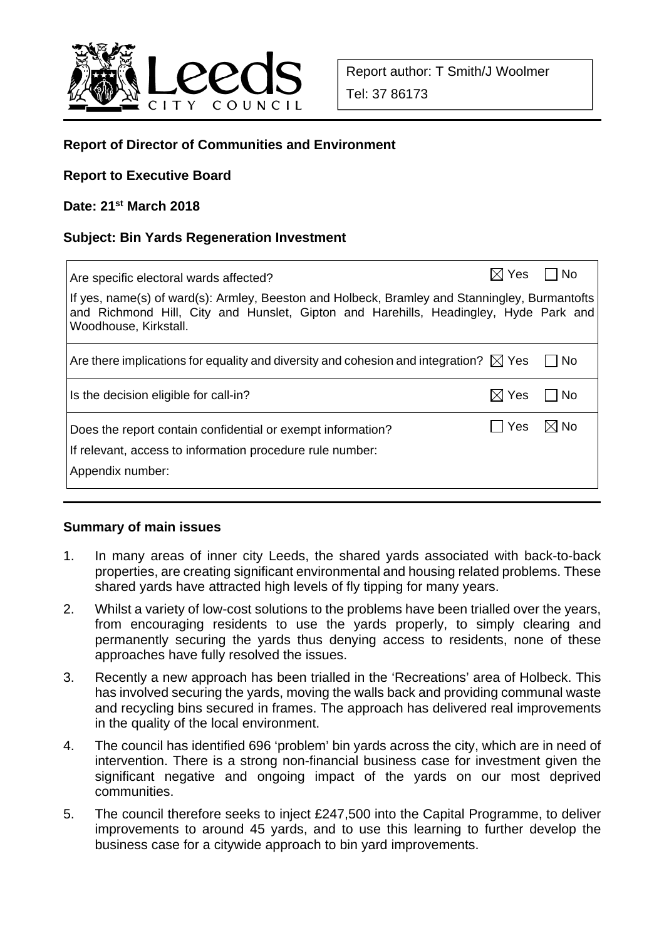

Tel: 37 86173

#### **Report of Director of Communities and Environment**

#### **Report to Executive Board**

#### **Date: 21st March 2018**

#### **Subject: Bin Yards Regeneration Investment**

| Are specific electoral wards affected?                                                                                                                                                                         | Yes | No    |
|----------------------------------------------------------------------------------------------------------------------------------------------------------------------------------------------------------------|-----|-------|
| If yes, name(s) of ward(s): Armley, Beeston and Holbeck, Bramley and Stanningley, Burmantofts<br>and Richmond Hill, City and Hunslet, Gipton and Harehills, Headingley, Hyde Park and<br>Woodhouse, Kirkstall. |     |       |
| Are there implications for equality and diversity and cohesion and integration? $\boxtimes$ Yes $\Box$ No                                                                                                      |     |       |
| Is the decision eligible for call-in?                                                                                                                                                                          | Yes | .No   |
| Does the report contain confidential or exempt information?<br>If relevant, access to information procedure rule number:<br>Appendix number:                                                                   | Yes | l⊠ No |

#### **Summary of main issues**

- 1. In many areas of inner city Leeds, the shared yards associated with back-to-back properties, are creating significant environmental and housing related problems. These shared yards have attracted high levels of fly tipping for many years.
- 2. Whilst a variety of low-cost solutions to the problems have been trialled over the years, from encouraging residents to use the yards properly, to simply clearing and permanently securing the yards thus denying access to residents, none of these approaches have fully resolved the issues.
- 3. Recently a new approach has been trialled in the 'Recreations' area of Holbeck. This has involved securing the yards, moving the walls back and providing communal waste and recycling bins secured in frames. The approach has delivered real improvements in the quality of the local environment.
- 4. The council has identified 696 'problem' bin yards across the city, which are in need of intervention. There is a strong non-financial business case for investment given the significant negative and ongoing impact of the yards on our most deprived communities.
- 5. The council therefore seeks to inject £247,500 into the Capital Programme, to deliver improvements to around 45 yards, and to use this learning to further develop the business case for a citywide approach to bin yard improvements.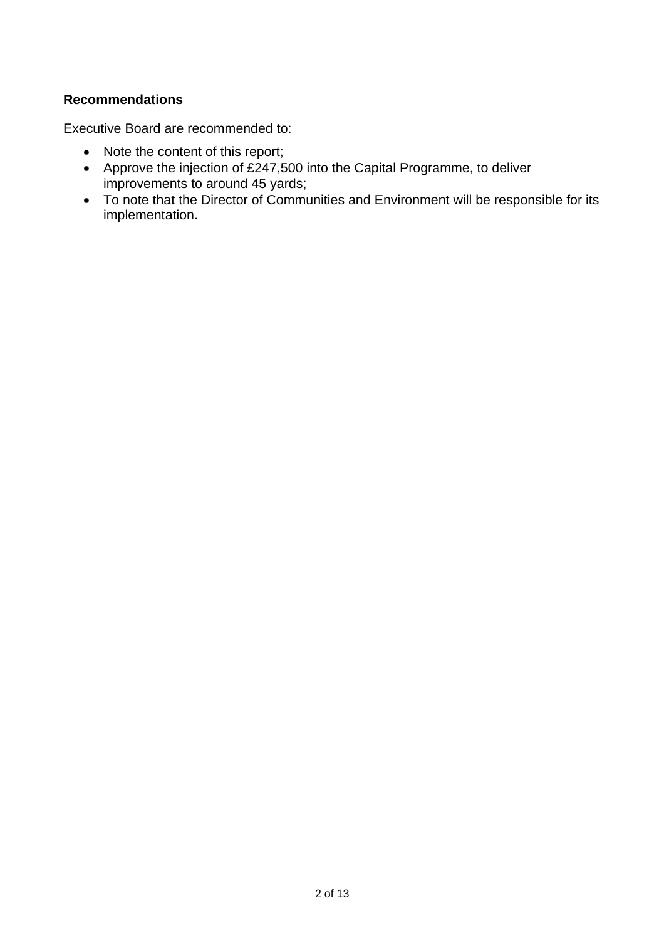## **Recommendations**

Executive Board are recommended to:

- Note the content of this report;
- Approve the injection of £247,500 into the Capital Programme, to deliver improvements to around 45 yards;
- To note that the Director of Communities and Environment will be responsible for its implementation.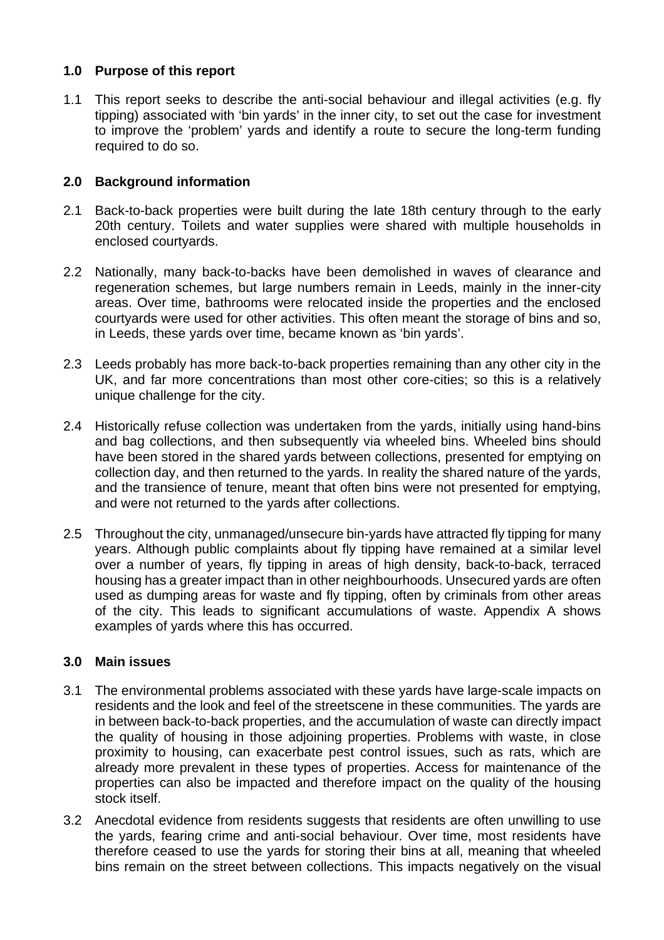### **1.0 Purpose of this report**

1.1 This report seeks to describe the anti-social behaviour and illegal activities (e.g. fly tipping) associated with 'bin yards' in the inner city, to set out the case for investment to improve the 'problem' yards and identify a route to secure the long-term funding required to do so.

#### **2.0 Background information**

- 2.1 Back-to-back properties were built during the late 18th century through to the early 20th century. Toilets and water supplies were shared with multiple households in enclosed courtyards.
- 2.2 Nationally, many back-to-backs have been demolished in waves of clearance and regeneration schemes, but large numbers remain in Leeds, mainly in the inner-city areas. Over time, bathrooms were relocated inside the properties and the enclosed courtyards were used for other activities. This often meant the storage of bins and so, in Leeds, these yards over time, became known as 'bin yards'.
- 2.3 Leeds probably has more back-to-back properties remaining than any other city in the UK, and far more concentrations than most other core-cities; so this is a relatively unique challenge for the city.
- 2.4 Historically refuse collection was undertaken from the yards, initially using hand-bins and bag collections, and then subsequently via wheeled bins. Wheeled bins should have been stored in the shared yards between collections, presented for emptying on collection day, and then returned to the yards. In reality the shared nature of the yards, and the transience of tenure, meant that often bins were not presented for emptying, and were not returned to the yards after collections.
- 2.5 Throughout the city, unmanaged/unsecure bin-yards have attracted fly tipping for many years. Although public complaints about fly tipping have remained at a similar level over a number of years, fly tipping in areas of high density, back-to-back, terraced housing has a greater impact than in other neighbourhoods. Unsecured yards are often used as dumping areas for waste and fly tipping, often by criminals from other areas of the city. This leads to significant accumulations of waste. Appendix A shows examples of yards where this has occurred.

#### **3.0 Main issues**

- 3.1 The environmental problems associated with these yards have large-scale impacts on residents and the look and feel of the streetscene in these communities. The yards are in between back-to-back properties, and the accumulation of waste can directly impact the quality of housing in those adjoining properties. Problems with waste, in close proximity to housing, can exacerbate pest control issues, such as rats, which are already more prevalent in these types of properties. Access for maintenance of the properties can also be impacted and therefore impact on the quality of the housing stock itself.
- 3.2 Anecdotal evidence from residents suggests that residents are often unwilling to use the yards, fearing crime and anti-social behaviour. Over time, most residents have therefore ceased to use the yards for storing their bins at all, meaning that wheeled bins remain on the street between collections. This impacts negatively on the visual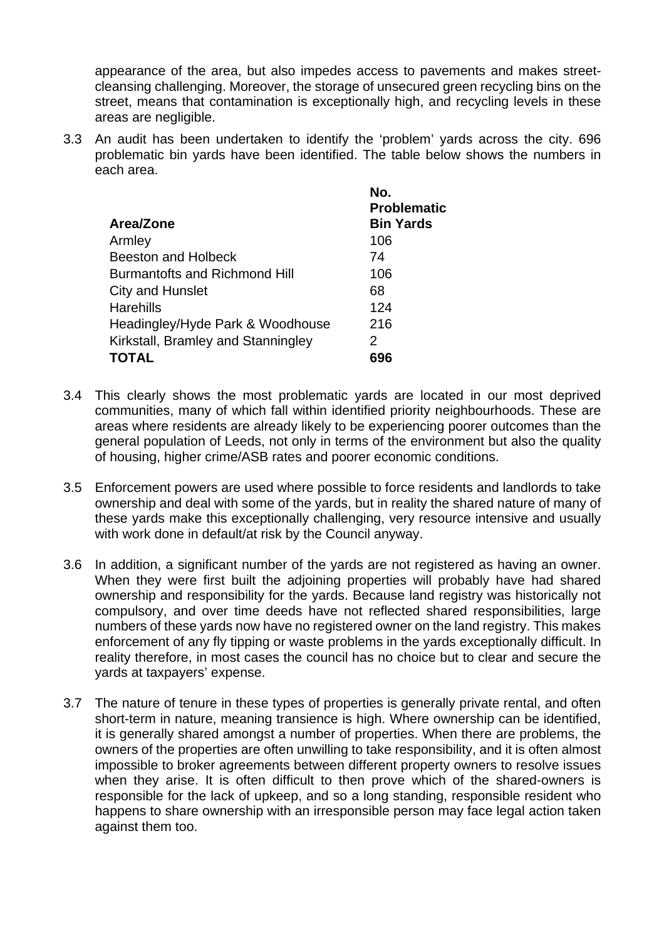appearance of the area, but also impedes access to pavements and makes streetcleansing challenging. Moreover, the storage of unsecured green recycling bins on the street, means that contamination is exceptionally high, and recycling levels in these areas are negligible.

3.3 An audit has been undertaken to identify the 'problem' yards across the city. 696 problematic bin yards have been identified. The table below shows the numbers in each area.

| Area/Zone                            | No.<br><b>Problematic</b><br><b>Bin Yards</b> |
|--------------------------------------|-----------------------------------------------|
| Armley                               | 106                                           |
| <b>Beeston and Holbeck</b>           | 74                                            |
| <b>Burmantofts and Richmond Hill</b> | 106                                           |
| <b>City and Hunslet</b>              | 68                                            |
| <b>Harehills</b>                     | 124                                           |
| Headingley/Hyde Park & Woodhouse     | 216                                           |
| Kirkstall, Bramley and Stanningley   | 2                                             |
| <b>TOTAL</b>                         | 696                                           |

- 3.4 This clearly shows the most problematic yards are located in our most deprived communities, many of which fall within identified priority neighbourhoods. These are areas where residents are already likely to be experiencing poorer outcomes than the general population of Leeds, not only in terms of the environment but also the quality of housing, higher crime/ASB rates and poorer economic conditions.
- 3.5 Enforcement powers are used where possible to force residents and landlords to take ownership and deal with some of the yards, but in reality the shared nature of many of these yards make this exceptionally challenging, very resource intensive and usually with work done in default/at risk by the Council anyway.
- 3.6 In addition, a significant number of the yards are not registered as having an owner. When they were first built the adjoining properties will probably have had shared ownership and responsibility for the yards. Because land registry was historically not compulsory, and over time deeds have not reflected shared responsibilities, large numbers of these yards now have no registered owner on the land registry. This makes enforcement of any fly tipping or waste problems in the yards exceptionally difficult. In reality therefore, in most cases the council has no choice but to clear and secure the yards at taxpayers' expense.
- 3.7 The nature of tenure in these types of properties is generally private rental, and often short-term in nature, meaning transience is high. Where ownership can be identified, it is generally shared amongst a number of properties. When there are problems, the owners of the properties are often unwilling to take responsibility, and it is often almost impossible to broker agreements between different property owners to resolve issues when they arise. It is often difficult to then prove which of the shared-owners is responsible for the lack of upkeep, and so a long standing, responsible resident who happens to share ownership with an irresponsible person may face legal action taken against them too.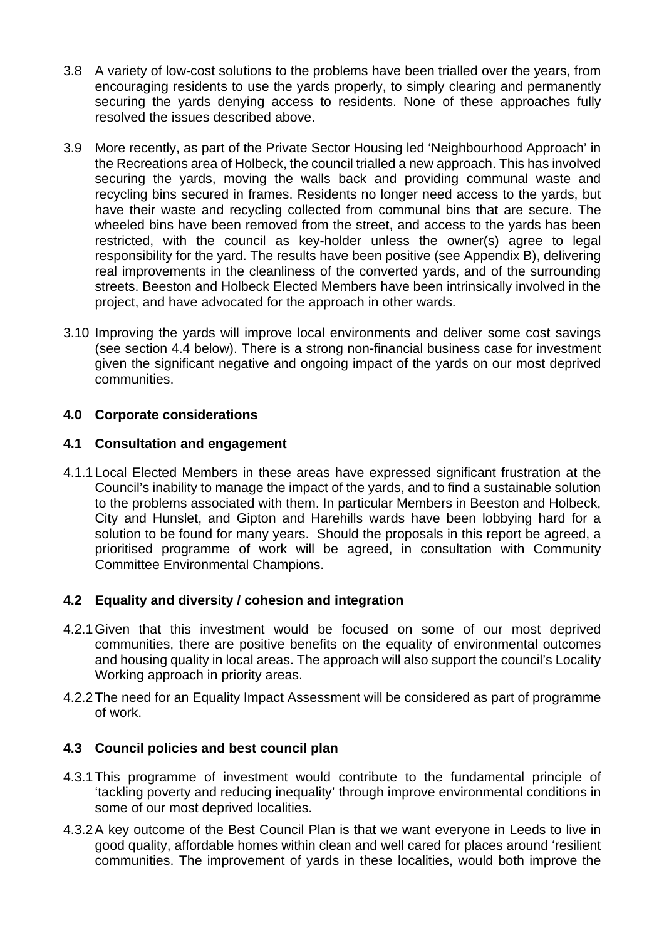- 3.8 A variety of low-cost solutions to the problems have been trialled over the years, from encouraging residents to use the yards properly, to simply clearing and permanently securing the yards denying access to residents. None of these approaches fully resolved the issues described above.
- 3.9 More recently, as part of the Private Sector Housing led 'Neighbourhood Approach' in the Recreations area of Holbeck, the council trialled a new approach. This has involved securing the yards, moving the walls back and providing communal waste and recycling bins secured in frames. Residents no longer need access to the yards, but have their waste and recycling collected from communal bins that are secure. The wheeled bins have been removed from the street, and access to the yards has been restricted, with the council as key-holder unless the owner(s) agree to legal responsibility for the yard. The results have been positive (see Appendix B), delivering real improvements in the cleanliness of the converted yards, and of the surrounding streets. Beeston and Holbeck Elected Members have been intrinsically involved in the project, and have advocated for the approach in other wards.
- 3.10 Improving the yards will improve local environments and deliver some cost savings (see section 4.4 below). There is a strong non-financial business case for investment given the significant negative and ongoing impact of the yards on our most deprived communities.

## **4.0 Corporate considerations**

#### **4.1 Consultation and engagement**

4.1.1 Local Elected Members in these areas have expressed significant frustration at the Council's inability to manage the impact of the yards, and to find a sustainable solution to the problems associated with them. In particular Members in Beeston and Holbeck, City and Hunslet, and Gipton and Harehills wards have been lobbying hard for a solution to be found for many years. Should the proposals in this report be agreed, a prioritised programme of work will be agreed, in consultation with Community Committee Environmental Champions.

## **4.2 Equality and diversity / cohesion and integration**

- 4.2.1 Given that this investment would be focused on some of our most deprived communities, there are positive benefits on the equality of environmental outcomes and housing quality in local areas. The approach will also support the council's Locality Working approach in priority areas.
- 4.2.2 The need for an Equality Impact Assessment will be considered as part of programme of work.

#### **4.3 Council policies and best council plan**

- 4.3.1 This programme of investment would contribute to the fundamental principle of 'tackling poverty and reducing inequality' through improve environmental conditions in some of our most deprived localities.
- 4.3.2 A key outcome of the Best Council Plan is that we want everyone in Leeds to live in good quality, affordable homes within clean and well cared for places around 'resilient communities. The improvement of yards in these localities, would both improve the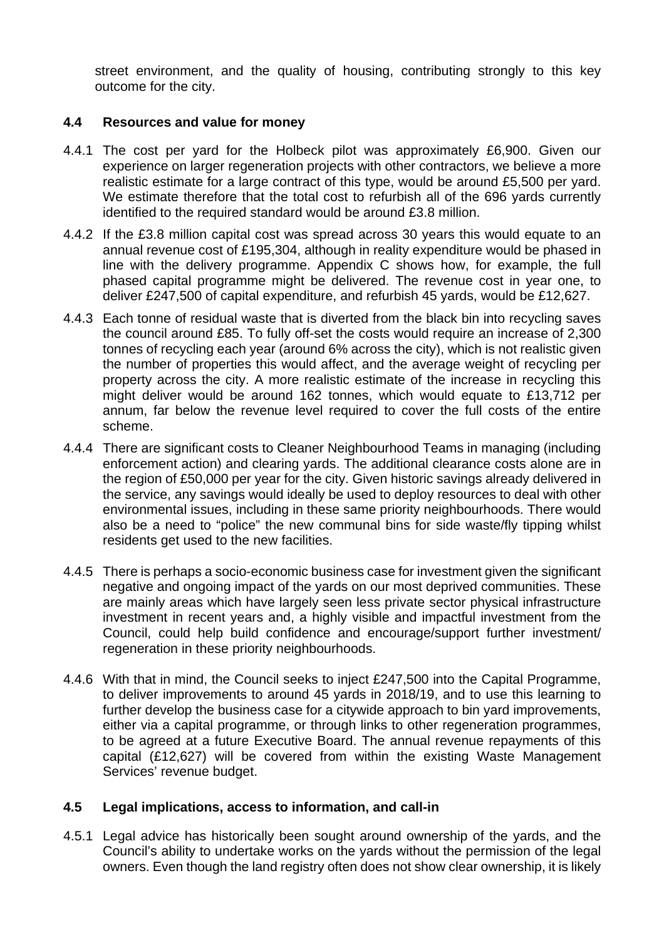street environment, and the quality of housing, contributing strongly to this key outcome for the city.

#### **4.4 Resources and value for money**

- 4.4.1 The cost per yard for the Holbeck pilot was approximately £6,900. Given our experience on larger regeneration projects with other contractors, we believe a more realistic estimate for a large contract of this type, would be around £5,500 per yard. We estimate therefore that the total cost to refurbish all of the 696 yards currently identified to the required standard would be around £3.8 million.
- 4.4.2 If the £3.8 million capital cost was spread across 30 years this would equate to an annual revenue cost of £195,304, although in reality expenditure would be phased in line with the delivery programme. Appendix C shows how, for example, the full phased capital programme might be delivered. The revenue cost in year one, to deliver £247,500 of capital expenditure, and refurbish 45 yards, would be £12,627.
- 4.4.3 Each tonne of residual waste that is diverted from the black bin into recycling saves the council around £85. To fully off-set the costs would require an increase of 2,300 tonnes of recycling each year (around 6% across the city), which is not realistic given the number of properties this would affect, and the average weight of recycling per property across the city. A more realistic estimate of the increase in recycling this might deliver would be around 162 tonnes, which would equate to £13,712 per annum, far below the revenue level required to cover the full costs of the entire scheme.
- 4.4.4 There are significant costs to Cleaner Neighbourhood Teams in managing (including enforcement action) and clearing yards. The additional clearance costs alone are in the region of £50,000 per year for the city. Given historic savings already delivered in the service, any savings would ideally be used to deploy resources to deal with other environmental issues, including in these same priority neighbourhoods. There would also be a need to "police" the new communal bins for side waste/fly tipping whilst residents get used to the new facilities.
- 4.4.5 There is perhaps a socio-economic business case for investment given the significant negative and ongoing impact of the yards on our most deprived communities. These are mainly areas which have largely seen less private sector physical infrastructure investment in recent years and, a highly visible and impactful investment from the Council, could help build confidence and encourage/support further investment/ regeneration in these priority neighbourhoods.
- 4.4.6 With that in mind, the Council seeks to inject £247,500 into the Capital Programme, to deliver improvements to around 45 yards in 2018/19, and to use this learning to further develop the business case for a citywide approach to bin yard improvements, either via a capital programme, or through links to other regeneration programmes, to be agreed at a future Executive Board. The annual revenue repayments of this capital (£12,627) will be covered from within the existing Waste Management Services' revenue budget.

#### **4.5 Legal implications, access to information, and call-in**

4.5.1 Legal advice has historically been sought around ownership of the yards, and the Council's ability to undertake works on the yards without the permission of the legal owners. Even though the land registry often does not show clear ownership, it is likely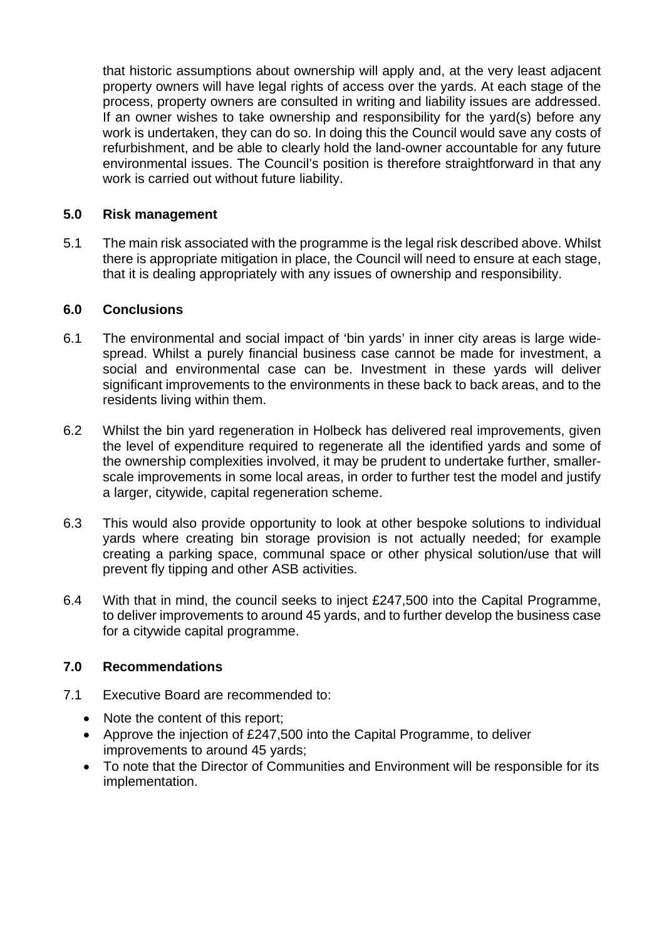that historic assumptions about ownership will apply and, at the very least adjacent property owners will have legal rights of access over the yards. At each stage of the process, property owners are consulted in writing and liability issues are addressed. If an owner wishes to take ownership and responsibility for the yard(s) before any work is undertaken, they can do so. In doing this the Council would save any costs of refurbishment, and be able to clearly hold the land-owner accountable for any future environmental issues. The Council's position is therefore straightforward in that any work is carried out without future liability.

#### **5.0 Risk management**

5.1 The main risk associated with the programme is the legal risk described above. Whilst there is appropriate mitigation in place, the Council will need to ensure at each stage, that it is dealing appropriately with any issues of ownership and responsibility.

#### **6.0 Conclusions**

- 6.1 The environmental and social impact of 'bin yards' in inner city areas is large widespread. Whilst a purely financial business case cannot be made for investment, a social and environmental case can be. Investment in these yards will deliver significant improvements to the environments in these back to back areas, and to the residents living within them.
- 6.2 Whilst the bin yard regeneration in Holbeck has delivered real improvements, given the level of expenditure required to regenerate all the identified yards and some of the ownership complexities involved, it may be prudent to undertake further, smallerscale improvements in some local areas, in order to further test the model and justify a larger, citywide, capital regeneration scheme.
- 6.3 This would also provide opportunity to look at other bespoke solutions to individual yards where creating bin storage provision is not actually needed; for example creating a parking space, communal space or other physical solution/use that will prevent fly tipping and other ASB activities.
- 6.4 With that in mind, the council seeks to inject £247,500 into the Capital Programme, to deliver improvements to around 45 yards, and to further develop the business case for a citywide capital programme.

#### **7.0 Recommendations**

- 7.1 Executive Board are recommended to:
	- Note the content of this report;
	- Approve the injection of £247,500 into the Capital Programme, to deliver improvements to around 45 yards;
	- To note that the Director of Communities and Environment will be responsible for its implementation.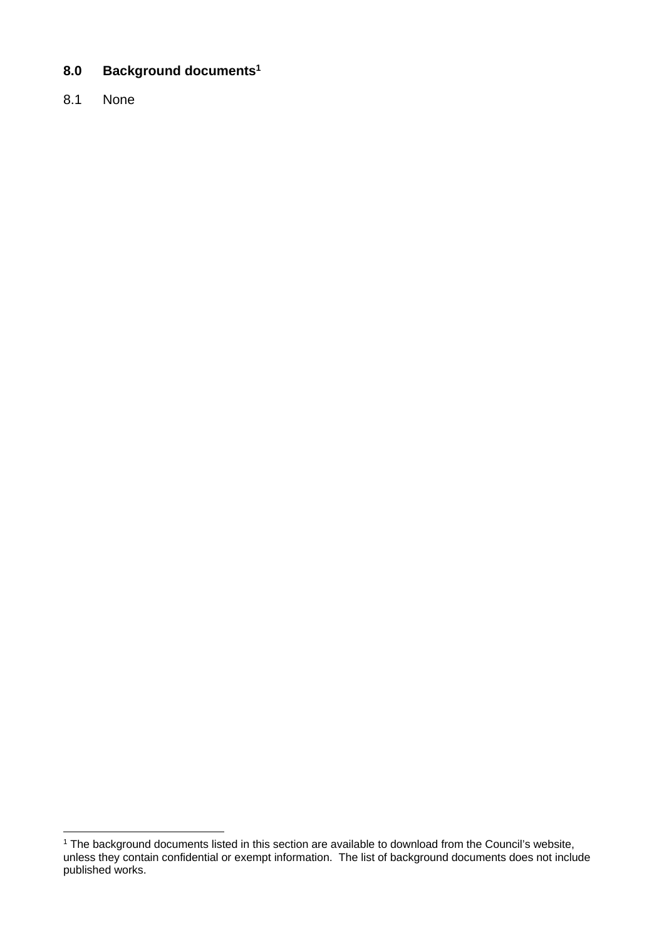## **8.0 Background documents1**

8.1 None

<sup>&</sup>lt;sup>1</sup> The background documents listed in this section are available to download from the Council's website, unless they contain confidential or exempt information. The list of background documents does not include published works.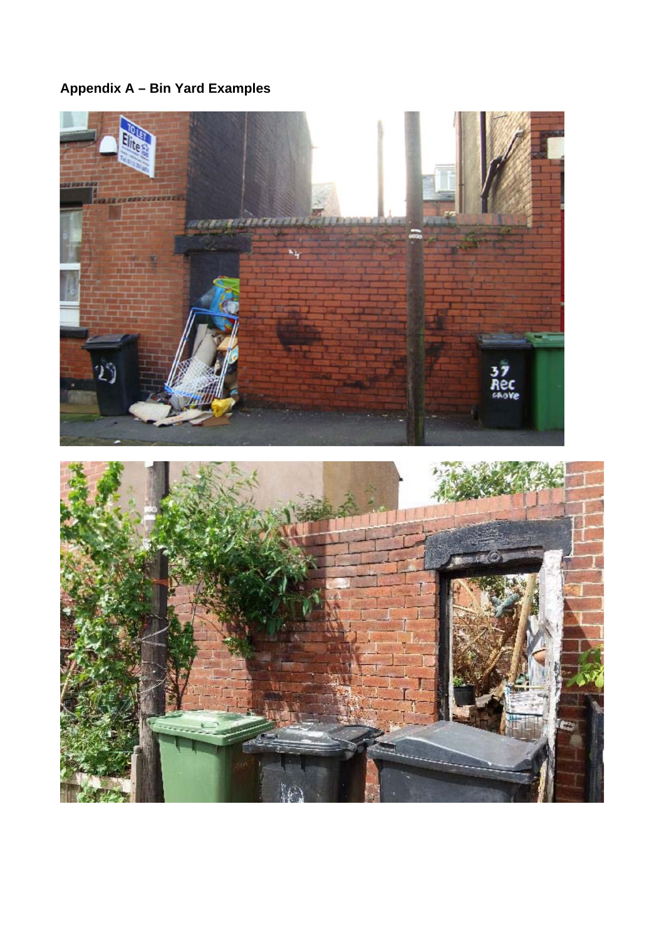# Appendix A - Bin Yard Examples

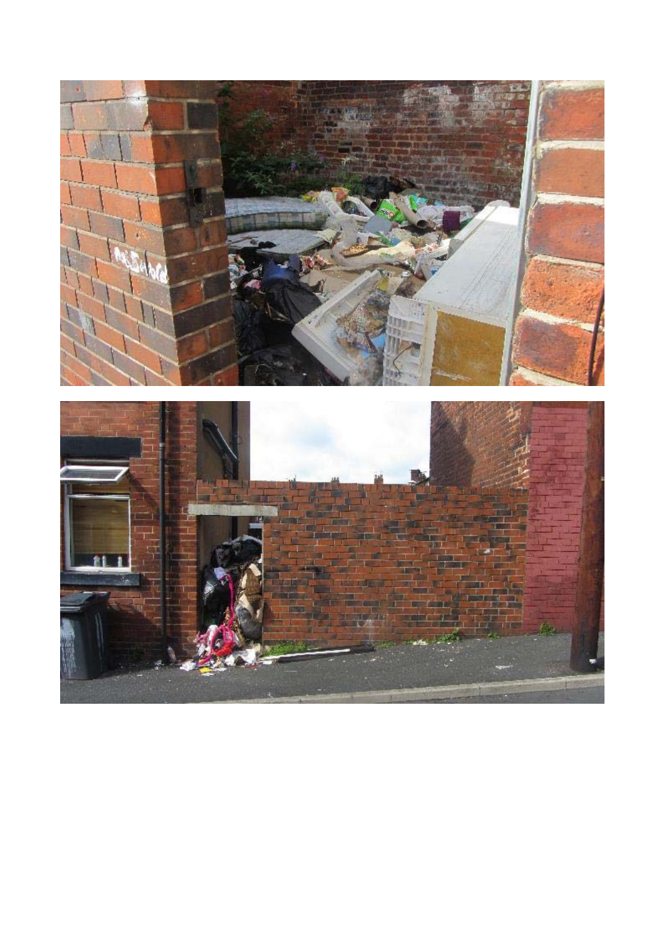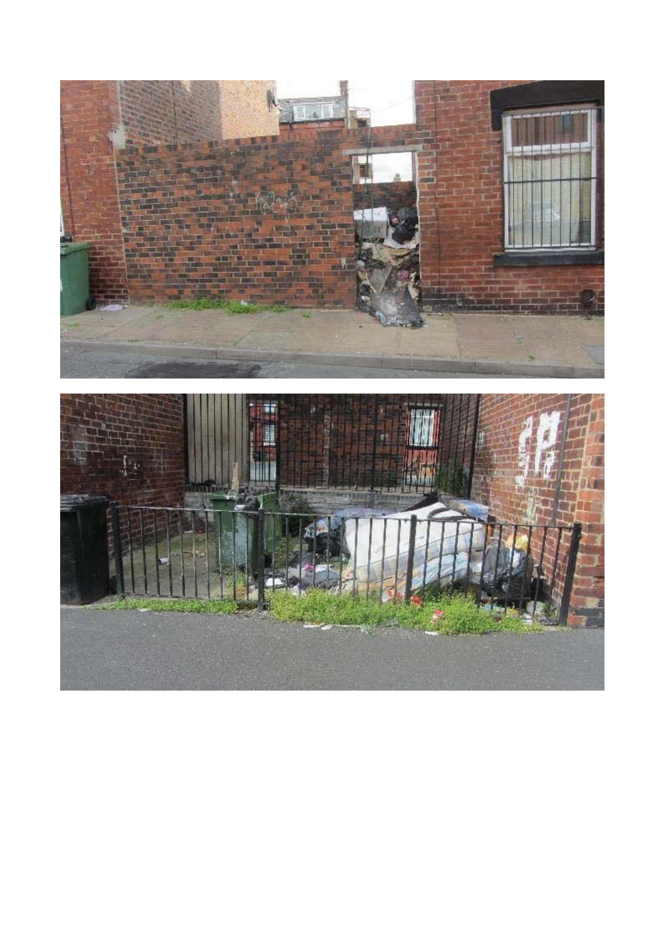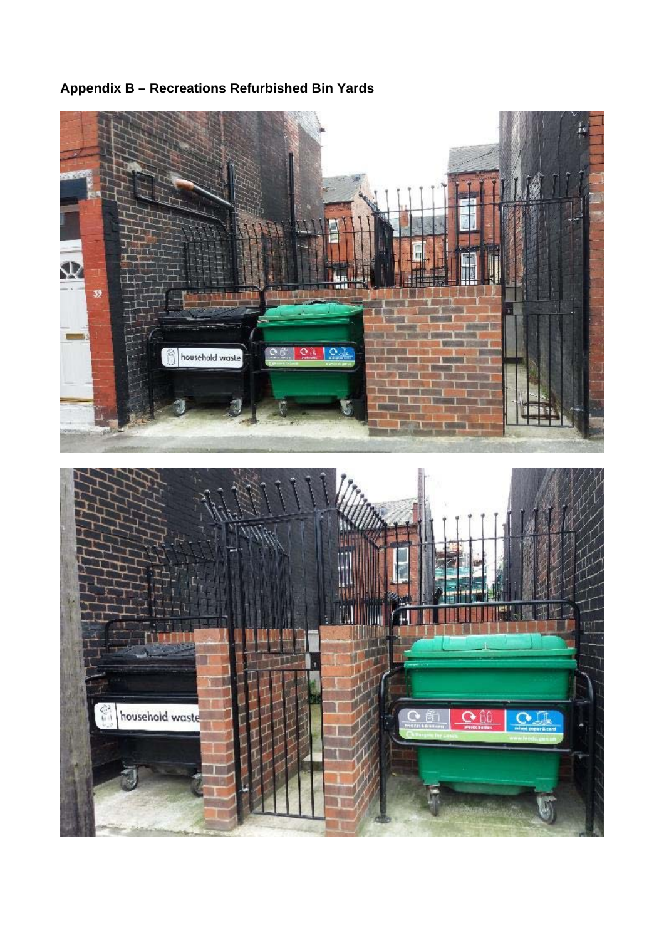## Appendix B - Recreations Refurbished Bin Yards